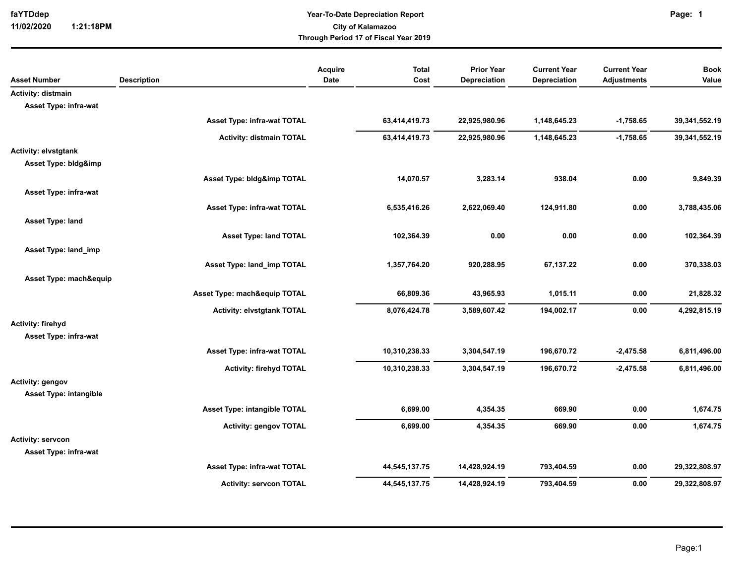**11/02/2020 1:21:18PM**

## **Year-To-Date Depreciation Report faYTDdep Page: City of Kalamazoo Through Period 17 of Fiscal Year 2019**

|                               |                                    | Acquire | <b>Total</b>  | <b>Prior Year</b> | <b>Current Year</b> | <b>Current Year</b> | <b>Book</b>   |
|-------------------------------|------------------------------------|---------|---------------|-------------------|---------------------|---------------------|---------------|
| <b>Asset Number</b>           | <b>Description</b>                 | Date    | Cost          | Depreciation      | Depreciation        | <b>Adjustments</b>  | Value         |
| Activity: distmain            |                                    |         |               |                   |                     |                     |               |
| Asset Type: infra-wat         |                                    |         |               |                   |                     |                     |               |
|                               | Asset Type: infra-wat TOTAL        |         | 63,414,419.73 | 22,925,980.96     | 1,148,645.23        | $-1,758.65$         | 39,341,552.19 |
|                               | <b>Activity: distmain TOTAL</b>    |         | 63,414,419.73 | 22,925,980.96     | 1,148,645.23        | $-1,758.65$         | 39,341,552.19 |
| <b>Activity: elvstgtank</b>   |                                    |         |               |                   |                     |                     |               |
| Asset Type: bldg&imp          |                                    |         |               |                   |                     |                     |               |
|                               | Asset Type: bldg&imp TOTAL         |         | 14,070.57     | 3,283.14          | 938.04              | 0.00                | 9,849.39      |
| Asset Type: infra-wat         |                                    |         |               |                   |                     |                     |               |
|                               | <b>Asset Type: infra-wat TOTAL</b> |         | 6,535,416.26  | 2,622,069.40      | 124,911.80          | 0.00                | 3,788,435.06  |
| Asset Type: land              |                                    |         |               |                   |                     |                     |               |
|                               | <b>Asset Type: land TOTAL</b>      |         | 102,364.39    | 0.00              | 0.00                | 0.00                | 102,364.39    |
| Asset Type: land_imp          |                                    |         |               |                   |                     |                     |               |
|                               | Asset Type: land imp TOTAL         |         | 1,357,764.20  | 920,288.95        | 67,137.22           | 0.00                | 370,338.03    |
| Asset Type: mach&equip        |                                    |         |               |                   |                     |                     |               |
|                               | Asset Type: mach&equip TOTAL       |         | 66,809.36     | 43,965.93         | 1,015.11            | 0.00                | 21,828.32     |
|                               |                                    |         |               |                   |                     |                     |               |
|                               | <b>Activity: elvstgtank TOTAL</b>  |         | 8,076,424.78  | 3,589,607.42      | 194,002.17          | 0.00                | 4,292,815.19  |
| Activity: firehyd             |                                    |         |               |                   |                     |                     |               |
| Asset Type: infra-wat         |                                    |         |               |                   |                     |                     |               |
|                               | Asset Type: infra-wat TOTAL        |         | 10,310,238.33 | 3,304,547.19      | 196,670.72          | $-2,475.58$         | 6,811,496.00  |
|                               | <b>Activity: firehyd TOTAL</b>     |         | 10,310,238.33 | 3,304,547.19      | 196,670.72          | $-2,475.58$         | 6,811,496.00  |
| Activity: gengov              |                                    |         |               |                   |                     |                     |               |
| <b>Asset Type: intangible</b> |                                    |         |               |                   |                     |                     |               |
|                               | Asset Type: intangible TOTAL       |         | 6,699.00      | 4,354.35          | 669.90              | 0.00                | 1,674.75      |
|                               | <b>Activity: gengov TOTAL</b>      |         | 6,699.00      | 4,354.35          | 669.90              | 0.00                | 1,674.75      |
| <b>Activity: servcon</b>      |                                    |         |               |                   |                     |                     |               |
| Asset Type: infra-wat         |                                    |         |               |                   |                     |                     |               |
|                               | Asset Type: infra-wat TOTAL        |         | 44,545,137.75 | 14,428,924.19     | 793,404.59          | 0.00                | 29,322,808.97 |
|                               | <b>Activity: servcon TOTAL</b>     |         | 44,545,137.75 | 14,428,924.19     | 793,404.59          | 0.00                | 29,322,808.97 |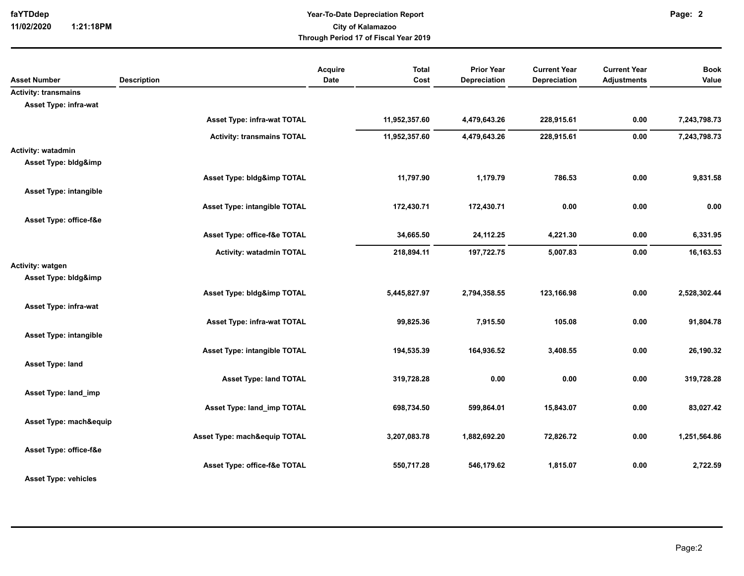**11/02/2020 1:21:18PM**

## **Year-To-Date Depreciation Report faYTDdep Page: City of Kalamazoo Through Period 17 of Fiscal Year 2019**

|                                   | Acquire                                                                           | <b>Total</b>                                                                                                                                                                       | <b>Prior Year</b>                                                                         | <b>Current Year</b>                                                                       | <b>Current Year</b>                                                          | <b>Book</b>                                                        |
|-----------------------------------|-----------------------------------------------------------------------------------|------------------------------------------------------------------------------------------------------------------------------------------------------------------------------------|-------------------------------------------------------------------------------------------|-------------------------------------------------------------------------------------------|------------------------------------------------------------------------------|--------------------------------------------------------------------|
|                                   |                                                                                   |                                                                                                                                                                                    |                                                                                           |                                                                                           |                                                                              | Value                                                              |
|                                   |                                                                                   |                                                                                                                                                                                    |                                                                                           |                                                                                           |                                                                              |                                                                    |
|                                   |                                                                                   |                                                                                                                                                                                    |                                                                                           |                                                                                           |                                                                              |                                                                    |
|                                   |                                                                                   |                                                                                                                                                                                    |                                                                                           |                                                                                           |                                                                              | 7,243,798.73                                                       |
| <b>Activity: transmains TOTAL</b> |                                                                                   | 11,952,357.60                                                                                                                                                                      | 4,479,643.26                                                                              | 228,915.61                                                                                | 0.00                                                                         | 7,243,798.73                                                       |
|                                   |                                                                                   |                                                                                                                                                                                    |                                                                                           |                                                                                           |                                                                              |                                                                    |
|                                   |                                                                                   |                                                                                                                                                                                    |                                                                                           |                                                                                           |                                                                              |                                                                    |
| Asset Type: bldg&imp TOTAL        |                                                                                   | 11,797.90                                                                                                                                                                          | 1,179.79                                                                                  | 786.53                                                                                    | 0.00                                                                         | 9,831.58                                                           |
|                                   |                                                                                   |                                                                                                                                                                                    |                                                                                           |                                                                                           |                                                                              |                                                                    |
|                                   |                                                                                   |                                                                                                                                                                                    |                                                                                           |                                                                                           |                                                                              | 0.00                                                               |
|                                   |                                                                                   |                                                                                                                                                                                    |                                                                                           |                                                                                           |                                                                              |                                                                    |
|                                   |                                                                                   |                                                                                                                                                                                    |                                                                                           |                                                                                           |                                                                              |                                                                    |
|                                   |                                                                                   |                                                                                                                                                                                    |                                                                                           |                                                                                           |                                                                              | 6,331.95                                                           |
| <b>Activity: watadmin TOTAL</b>   |                                                                                   | 218,894.11                                                                                                                                                                         | 197,722.75                                                                                | 5,007.83                                                                                  | 0.00                                                                         | 16,163.53                                                          |
|                                   |                                                                                   |                                                                                                                                                                                    |                                                                                           |                                                                                           |                                                                              |                                                                    |
|                                   |                                                                                   |                                                                                                                                                                                    |                                                                                           |                                                                                           |                                                                              |                                                                    |
| Asset Type: bldg&imp TOTAL        |                                                                                   | 5,445,827.97                                                                                                                                                                       | 2,794,358.55                                                                              | 123,166.98                                                                                | 0.00                                                                         | 2,528,302.44                                                       |
|                                   |                                                                                   |                                                                                                                                                                                    |                                                                                           |                                                                                           |                                                                              |                                                                    |
|                                   |                                                                                   |                                                                                                                                                                                    |                                                                                           |                                                                                           |                                                                              | 91,804.78                                                          |
|                                   |                                                                                   |                                                                                                                                                                                    |                                                                                           |                                                                                           |                                                                              |                                                                    |
|                                   |                                                                                   |                                                                                                                                                                                    |                                                                                           |                                                                                           |                                                                              | 26,190.32                                                          |
|                                   |                                                                                   |                                                                                                                                                                                    |                                                                                           |                                                                                           |                                                                              |                                                                    |
|                                   |                                                                                   |                                                                                                                                                                                    |                                                                                           |                                                                                           |                                                                              |                                                                    |
|                                   |                                                                                   |                                                                                                                                                                                    |                                                                                           |                                                                                           |                                                                              | 319,728.28                                                         |
|                                   |                                                                                   |                                                                                                                                                                                    |                                                                                           |                                                                                           |                                                                              |                                                                    |
| Asset Type: land_imp TOTAL        |                                                                                   | 698,734.50                                                                                                                                                                         | 599,864.01                                                                                | 15,843.07                                                                                 | 0.00                                                                         | 83,027.42                                                          |
| Asset Type: mach&equip            |                                                                                   |                                                                                                                                                                                    |                                                                                           |                                                                                           |                                                                              |                                                                    |
| Asset Type: mach&equip TOTAL      |                                                                                   | 3,207,083.78                                                                                                                                                                       | 1,882,692.20                                                                              | 72,826.72                                                                                 | 0.00                                                                         | 1,251,564.86                                                       |
|                                   |                                                                                   |                                                                                                                                                                                    |                                                                                           |                                                                                           |                                                                              |                                                                    |
|                                   |                                                                                   | 550,717.28                                                                                                                                                                         | 546,179.62                                                                                | 1,815.07                                                                                  | 0.00                                                                         | 2,722.59                                                           |
|                                   |                                                                                   |                                                                                                                                                                                    |                                                                                           |                                                                                           |                                                                              |                                                                    |
|                                   | <b>Description</b><br>Asset Type: infra-wat TOTAL<br>Asset Type: office-f&e TOTAL | <b>Date</b><br><b>Asset Type: intangible TOTAL</b><br>Asset Type: office-f&e TOTAL<br>Asset Type: infra-wat TOTAL<br>Asset Type: intangible TOTAL<br><b>Asset Type: land TOTAL</b> | Cost<br>11,952,357.60<br>172,430.71<br>34,665.50<br>99,825.36<br>194,535.39<br>319,728.28 | Depreciation<br>4,479,643.26<br>172,430.71<br>24,112.25<br>7,915.50<br>164,936.52<br>0.00 | Depreciation<br>228,915.61<br>0.00<br>4,221.30<br>105.08<br>3,408.55<br>0.00 | <b>Adjustments</b><br>0.00<br>0.00<br>0.00<br>0.00<br>0.00<br>0.00 |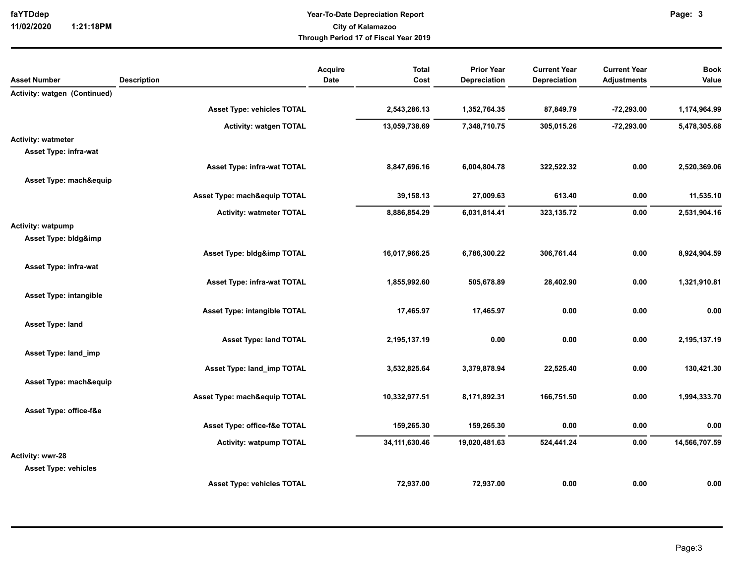**11/02/2020 1:21:18PM**

## **Year-To-Date Depreciation Report faYTDdep Page: City of Kalamazoo Through Period 17 of Fiscal Year 2019**

|                               |                                     | Acquire | <b>Total</b>     | <b>Prior Year</b> | <b>Current Year</b> | <b>Current Year</b> | <b>Book</b>   |
|-------------------------------|-------------------------------------|---------|------------------|-------------------|---------------------|---------------------|---------------|
| <b>Asset Number</b>           | <b>Description</b>                  | Date    | Cost             | Depreciation      | <b>Depreciation</b> | <b>Adjustments</b>  | Value         |
| Activity: watgen (Continued)  |                                     |         |                  |                   |                     |                     |               |
|                               | <b>Asset Type: vehicles TOTAL</b>   |         | 2,543,286.13     | 1,352,764.35      | 87,849.79           | $-72,293.00$        | 1,174,964.99  |
|                               | <b>Activity: watgen TOTAL</b>       |         | 13,059,738.69    | 7,348,710.75      | 305,015.26          | $-72,293.00$        | 5,478,305.68  |
| <b>Activity: watmeter</b>     |                                     |         |                  |                   |                     |                     |               |
| Asset Type: infra-wat         |                                     |         |                  |                   |                     |                     |               |
|                               | Asset Type: infra-wat TOTAL         |         | 8,847,696.16     | 6,004,804.78      | 322,522.32          | 0.00                | 2,520,369.06  |
| Asset Type: mach&equip        |                                     |         |                  |                   |                     |                     |               |
|                               | Asset Type: mach&equip TOTAL        |         | 39,158.13        | 27,009.63         | 613.40              | 0.00                | 11,535.10     |
|                               | <b>Activity: watmeter TOTAL</b>     |         | 8,886,854.29     | 6,031,814.41      | 323, 135.72         | 0.00                | 2,531,904.16  |
| <b>Activity: watpump</b>      |                                     |         |                  |                   |                     |                     |               |
| Asset Type: bldg&imp          |                                     |         |                  |                   |                     |                     |               |
|                               | Asset Type: bldg&imp TOTAL          |         | 16,017,966.25    | 6,786,300.22      | 306,761.44          | 0.00                | 8,924,904.59  |
| Asset Type: infra-wat         |                                     |         |                  |                   |                     |                     |               |
|                               | <b>Asset Type: infra-wat TOTAL</b>  |         | 1,855,992.60     | 505,678.89        | 28,402.90           | 0.00                | 1,321,910.81  |
| <b>Asset Type: intangible</b> |                                     |         |                  |                   |                     |                     |               |
|                               | <b>Asset Type: intangible TOTAL</b> |         | 17,465.97        | 17,465.97         | 0.00                | 0.00                | 0.00          |
| Asset Type: land              |                                     |         |                  |                   |                     |                     |               |
|                               | <b>Asset Type: land TOTAL</b>       |         | 2,195,137.19     | 0.00              | 0.00                | 0.00                | 2,195,137.19  |
| Asset Type: land_imp          |                                     |         |                  |                   |                     |                     |               |
|                               |                                     |         |                  |                   |                     |                     |               |
|                               | Asset Type: land_imp TOTAL          |         | 3,532,825.64     | 3,379,878.94      | 22,525.40           | 0.00                | 130,421.30    |
| Asset Type: mach&equip        |                                     |         |                  |                   |                     |                     |               |
|                               | Asset Type: mach&equip TOTAL        |         | 10,332,977.51    | 8,171,892.31      | 166,751.50          | 0.00                | 1,994,333.70  |
| Asset Type: office-f&e        |                                     |         |                  |                   |                     |                     |               |
|                               | Asset Type: office-f&e TOTAL        |         | 159,265.30       | 159,265.30        | 0.00                | 0.00                | 0.00          |
|                               | <b>Activity: watpump TOTAL</b>      |         | 34, 111, 630. 46 | 19,020,481.63     | 524,441.24          | 0.00                | 14,566,707.59 |
| Activity: wwr-28              |                                     |         |                  |                   |                     |                     |               |
| <b>Asset Type: vehicles</b>   |                                     |         |                  |                   |                     |                     |               |
|                               | <b>Asset Type: vehicles TOTAL</b>   |         | 72,937.00        | 72,937.00         | 0.00                | 0.00                | 0.00          |
|                               |                                     |         |                  |                   |                     |                     |               |